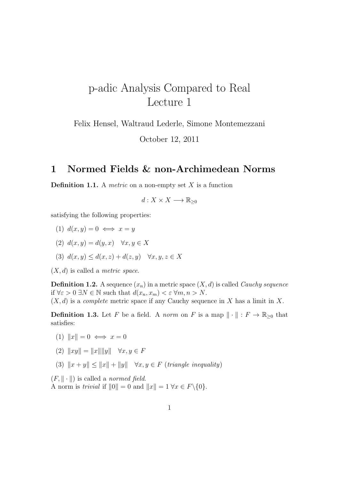# p-adic Analysis Compared to Real Lecture 1

Felix Hensel, Waltraud Lederle, Simone Montemezzani

October 12, 2011

### 1 Normed Fields & non-Archimedean Norms

**Definition 1.1.** A *metric* on a non-empty set X is a function

$$
d: X \times X \longrightarrow \mathbb{R}_{\geq 0}
$$

satisfying the following properties:

- (1)  $d(x, y) = 0 \iff x = y$
- (2)  $d(x, y) = d(y, x) \quad \forall x, y \in X$
- (3)  $d(x, y) \leq d(x, z) + d(z, y) \quad \forall x, y, z \in X$

 $(X, d)$  is called a *metric space*.

**Definition 1.2.** A sequence  $(x_n)$  in a metric space  $(X, d)$  is called *Cauchy sequence* if  $\forall \varepsilon > 0 \ \exists N \in \mathbb{N}$  such that  $d(x_n, x_m) < \varepsilon \ \forall m, n > N$ .

 $(X, d)$  is a *complete* metric space if any Cauchy sequence in X has a limit in X.

**Definition 1.3.** Let F be a field. A norm on F is a map  $\|\cdot\|$  :  $F \to \mathbb{R}_{\geq 0}$  that satisfies:

- (1)  $||x|| = 0 \iff x = 0$
- (2)  $||xy|| = ||x|| ||y|| \quad \forall x, y \in F$
- (3)  $\|x + y\| \le \|x\| + \|y\|$   $\forall x, y \in F$  (triangle inequality)

 $(F, \|\cdot\|)$  is called a normed field. A norm is trivial if  $||0|| = 0$  and  $||x|| = 1 \,\forall x \in F\backslash\{0\}.$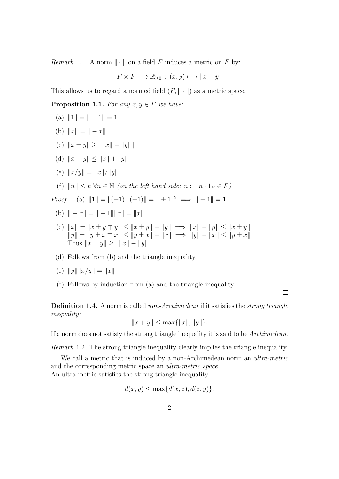*Remark* 1.1. A norm  $\|\cdot\|$  on a field F induces a metric on F by:

$$
F \times F \longrightarrow \mathbb{R}_{\geq 0} : (x, y) \longmapsto ||x - y||
$$

This allows us to regard a normed field  $(F, \|\cdot\|)$  as a metric space.

**Proposition 1.1.** For any  $x, y \in F$  we have:

- (a)  $||1|| = || 1|| = 1$
- (b)  $||x|| = || x||$
- (c)  $||x \pm y|| > ||||x|| ||y||$
- (d)  $||x y|| \le ||x|| + ||y||$
- (e)  $||x/y|| = ||x||/||y||$
- (f)  $||n|| \le n \forall n \in \mathbb{N}$  (on the left hand side:  $n := n \cdot 1_F \in F$ )

*Proof.* (a)  $||1|| = ||(\pm 1) \cdot (\pm 1)|| = || \pm 1||^2 \implies || \pm 1|| = 1$ 

- (b)  $\| x \| = \| 1 \| \|x\| = \|x\|$
- (c)  $||x|| = ||x \pm y \mp y|| \le ||x \pm y|| + ||y|| \implies ||x|| ||y|| \le ||x \pm y||$  $||y|| = ||y \pm x \mp x|| \le ||y \pm x|| + ||x|| \implies ||y|| - ||x|| \le ||y \pm x||$ Thus  $||x \pm y|| \ge |||x|| - ||y|||.$
- (d) Follows from (b) and the triangle inequality.

(e) 
$$
||y|| ||x/y|| = ||x||
$$

(f) Follows by induction from (a) and the triangle inequality.

 $\Box$ 

Definition 1.4. A norm is called non-Archimedean if it satisfies the *strong triangle* inequality:

$$
||x + y|| \le \max\{||x||, ||y||\}.
$$

If a norm does not satisfy the strong triangle inequality it is said to be Archimedean.

Remark 1.2. The strong triangle inequality clearly implies the triangle inequality.

We call a metric that is induced by a non-Archimedean norm an *ultra-metric* and the corresponding metric space an ultra-metric space. An ultra-metric satisfies the strong triangle inequality:

$$
d(x, y) \le \max\{d(x, z), d(z, y)\}.
$$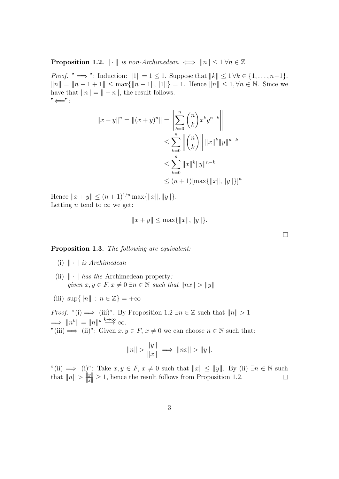**Proposition 1.2.**  $\|\cdot\|$  is non-Archimedean  $\iff \|n\| \leq 1 \forall n \in \mathbb{Z}$ 

*Proof.* "  $\implies$ ": Induction:  $||1|| = 1 \le 1$ . Suppose that  $||k|| \le 1 \forall k \in \{1, ..., n-1\}$ .  $||n|| = ||n - 1 + 1|| \leq \max{||n - 1||, ||1||} = 1.$  Hence  $||n|| \leq 1, \forall n \in \mathbb{N}$ . Since we have that  $||n|| = || - n||$ , the result follows.  $"\leftarrow"$ :

$$
||x + y||n = ||(x + y)n|| = \left\| \sum_{k=0}^{n} {n \choose k} x^{k} y^{n-k} \right\|
$$
  
\n
$$
\leq \sum_{k=0}^{n} ||{n \choose k} ||x||^{k} ||y||^{n-k}
$$
  
\n
$$
\leq \sum_{k=0}^{n} ||x||^{k} ||y||^{n-k}
$$
  
\n
$$
\leq (n + 1) [\max{||x||, ||y||}]^{n}
$$

Hence  $||x + y|| \le (n + 1)^{1/n} \max{||x||, ||y||}.$ Letting *n* tend to  $\infty$  we get:

$$
||x + y|| \le \max\{||x||, ||y||\}.
$$

 $\Box$ 

#### Proposition 1.3. The following are equivalent:

- (i)  $\|\cdot\|$  is Archimedean
- (ii)  $\|\cdot\|$  has the Archimedean property: given  $x, y \in F, x \neq 0 \exists n \in \mathbb{N}$  such that  $||nx|| > ||y||$
- (iii)  $\sup\{\|n\| : n \in \mathbb{Z}\} = +\infty$

*Proof.* "(i)  $\implies$  (iii)": By Proposition 1.2  $\exists n \in \mathbb{Z}$  such that  $||n|| > 1$  $\implies \|n^k\| = \|n\|^k \stackrel{k\to\infty}{\longrightarrow} \infty.$ "(iii)  $\Rightarrow$ " (ii)": Given  $x, y \in F$ ,  $x \neq 0$  we can choose  $n \in \mathbb{N}$  such that:

$$
||n|| > \frac{||y||}{||x||} \implies ||nx|| > ||y||.
$$

"(ii)  $\implies$  (i)": Take  $x, y \in F$ ,  $x \neq 0$  such that  $||x|| \leq ||y||$ . By (ii)  $\exists n \in \mathbb{N}$  such that  $||n|| > \frac{||y||}{||x||} \ge 1$ , hence the result follows from Proposition 1.2.  $\Box$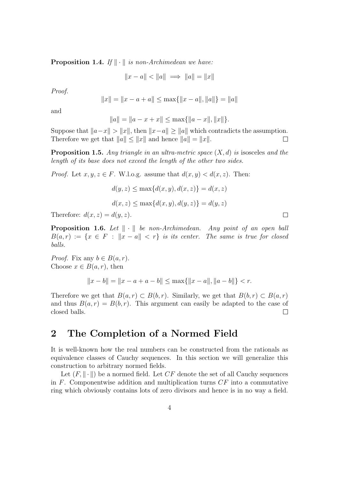**Proposition 1.4.** If  $\|\cdot\|$  is non-Archimedean we have:

$$
||x - a|| < ||a|| \implies ||a|| = ||x||
$$

Proof.

$$
||x|| = ||x - a + a|| \le \max{||x - a||, ||a||} = ||a||
$$

and

$$
||a|| = ||a - x + x|| \le \max{||a - x||, ||x||}.
$$

Suppose that  $||a-x|| > ||x||$ , then  $||x-a|| \ge ||a||$  which contradicts the assumption. Therefore we get that  $||a|| \le ||x||$  and hence  $||a|| = ||x||$ .  $\Box$ 

**Proposition 1.5.** Any triangle in an ultra-metric space  $(X, d)$  is isosceles and the length of its base does not exceed the length of the other two sides.

*Proof.* Let  $x, y, z \in F$ . W.l.o.g. assume that  $d(x, y) < d(x, z)$ . Then:

$$
d(y, z) \le \max\{d(x, y), d(x, z)\} = d(x, z)
$$

$$
d(x, z) \le \max\{d(x, y), d(y, z)\} = d(y, z)
$$

Therefore:  $d(x, z) = d(y, z)$ .

**Proposition 1.6.** Let  $\|\cdot\|$  be non-Archimedean. Any point of an open ball  $B(a,r) := \{x \in F : ||x-a|| < r\}$  is its center. The same is true for closed balls.

*Proof.* Fix any  $b \in B(a, r)$ . Choose  $x \in B(a, r)$ , then

$$
||x - b|| = ||x - a + a - b|| \le \max\{||x - a||, ||a - b||\} < r.
$$

Therefore we get that  $B(a, r) \subset B(b, r)$ . Similarly, we get that  $B(b, r) \subset B(a, r)$ and thus  $B(a, r) = B(b, r)$ . This argument can easily be adapted to the case of closed balls.  $\Box$ 

### 2 The Completion of a Normed Field

It is well-known how the real numbers can be constructed from the rationals as equivalence classes of Cauchy sequences. In this section we will generalize this construction to arbitrary normed fields.

Let  $(F, \|\cdot\|)$  be a normed field. Let  $CF$  denote the set of all Cauchy sequences in  $F$ . Componentwise addition and multiplication turns  $CF$  into a commutative ring which obviously contains lots of zero divisors and hence is in no way a field.

 $\Box$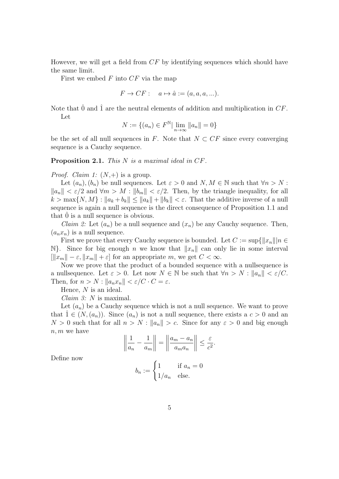However, we will get a field from CF by identifying sequences which should have the same limit.

First we embed  $F$  into  $CF$  via the map

$$
F \to CF: \quad a \mapsto \hat{a} := (a, a, a, \ldots).
$$

Note that  $\hat{0}$  and  $\hat{1}$  are the neutral elements of addition and multiplication in CF. Let

$$
N := \{(a_n) \in F^{\mathbb{N}} | \lim_{n \to \infty} ||a_n|| = 0\}
$$

be the set of all null sequences in F. Note that  $N \subset CF$  since every converging sequence is a Cauchy sequence.

Proposition 2.1. This N is a maximal ideal in CF.

*Proof. Claim 1:*  $(N,+)$  is a group.

Let  $(a_n), (b_n)$  be null sequences. Let  $\varepsilon > 0$  and  $N, M \in \mathbb{N}$  such that  $\forall n > N$ :  $||a_n|| < \varepsilon/2$  and  $\forall m > M : ||b_m|| < \varepsilon/2$ . Then, by the triangle inequality, for all  $k > \max\{N, M\} : \|a_k + b_k\| \leq \|a_k\| + \|b_k\| < \varepsilon$ . That the additive inverse of a null sequence is again a null sequence is the direct consequence of Proposition 1.1 and that  $\ddot{0}$  is a null sequence is obvious.

*Claim 2:* Let  $(a_n)$  be a null sequence and  $(x_n)$  be any Cauchy sequence. Then,  $(a_n x_n)$  is a null sequence.

First we prove that every Cauchy sequence is bounded. Let  $C := \sup\{||x_n|| | n \in$ N}. Since for big enough n we know that  $||x_n||$  can only lie in some interval  $\|x_m\| - \varepsilon, \|x_m\| + \varepsilon$  for an appropriate m, we get  $C < \infty$ .

Now we prove that the product of a bounded sequence with a nullsequence is a nullsequence. Let  $\varepsilon > 0$ . Let now  $N \in \mathbb{N}$  be such that  $\forall n > N : ||a_n|| < \varepsilon/C$ . Then, for  $n > N : ||a_n x_n|| < \varepsilon / C \cdot C = \varepsilon$ .

Hence, N is an ideal.

Claim 3: N is maximal.

Let  $(a_n)$  be a Cauchy sequence which is not a null sequence. We want to prove that  $1 \in (N,(a_n))$ . Since  $(a_n)$  is not a null sequence, there exists a  $c > 0$  and an  $N > 0$  such that for all  $n > N : ||a_n|| > c$ . Since for any  $\varepsilon > 0$  and big enough  $n, m$  we have  $\mathbf{r}$  $\mathbb{R}^2$ 

$$
\left\|\frac{1}{a_n} - \frac{1}{a_m}\right\| = \left\|\frac{a_m - a_n}{a_m a_n}\right\| \le \frac{\varepsilon}{c^2}.
$$

Define now

$$
b_n := \begin{cases} 1 & \text{if } a_n = 0 \\ 1/a_n & \text{else.} \end{cases}
$$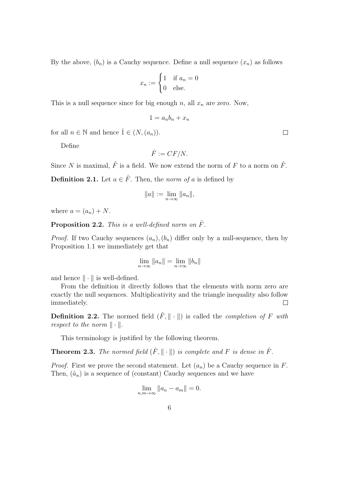By the above,  $(b_n)$  is a Cauchy sequence. Define a null sequence  $(x_n)$  as follows

$$
x_n := \begin{cases} 1 & \text{if } a_n = 0 \\ 0 & \text{else.} \end{cases}
$$

This is a null sequence since for big enough n, all  $x_n$  are zero. Now,

$$
1 = a_n b_n + x_n
$$

for all  $n \in \mathbb{N}$  and hence  $\hat{1} \in (N,(a_n)).$ 

Define

$$
\hat{F} := CF/N.
$$

Since N is maximal,  $\hat{F}$  is a field. We now extend the norm of F to a norm on  $\hat{F}$ .

**Definition 2.1.** Let  $a \in \hat{F}$ . Then, the norm of a is defined by

$$
||a|| := \lim_{n \to \infty} ||a_n||,
$$

where  $a = (a_n) + N$ .

**Proposition 2.2.** This is a well-defined norm on  $\hat{F}$ .

*Proof.* If two Cauchy sequences  $(a_n)$ ,  $(b_n)$  differ only by a null-sequence, then by Proposition 1.1 we immediately get that

$$
\lim_{n \to \infty} ||a_n|| = \lim_{n \to \infty} ||b_n||
$$

and hence  $\|\cdot\|$  is well-defined.

From the definition it directly follows that the elements with norm zero are exactly the null sequences. Multiplicativity and the triangle inequality also follow immediately.  $\Box$ 

**Definition 2.2.** The normed field  $(\hat{F}, \|\cdot\|)$  is called the *completion of* F with respect to the norm  $\|\cdot\|.$ 

This terminology is justified by the following theorem.

**Theorem 2.3.** The normed field  $(\hat{F}, \|\cdot\|)$  is complete and F is dense in  $\hat{F}$ .

*Proof.* First we prove the second statement. Let  $(a_n)$  be a Cauchy sequence in F. Then,  $(\hat{a}_n)$  is a sequence of (constant) Cauchy sequences and we have

$$
\lim_{n,m\to\infty}||a_n-a_m||=0.
$$

 $\Box$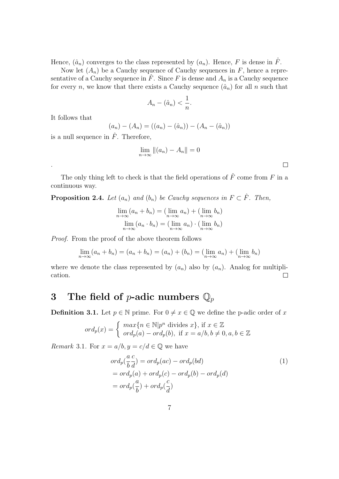Hence,  $(\hat{a}_n)$  converges to the class represented by  $(a_n)$ . Hence, F is dense in  $\hat{F}$ .

Now let  $(A_n)$  be a Cauchy sequence of Cauchy sequences in F, hence a representative of a Cauchy sequence in  $\hat{F}$ . Since F is dense and  $A_n$  is a Cauchy sequence for every n, we know that there exists a Cauchy sequence  $(\hat{a}_n)$  for all n such that

$$
A_n - (\hat{a}_n) < \frac{1}{n}.
$$

It follows that

.

$$
(a_n) - (A_n) = ((a_n) - (\hat{a}_n)) - (A_n - (\hat{a}_n))
$$

is a null sequence in  $\ddot{F}$ . Therefore,

$$
\lim_{n \to \infty} \|(a_n) - A_n\| = 0
$$

 $\Box$ 

The only thing left to check is that the field operations of  $\hat{F}$  come from F in a continuous way.

**Proposition 2.4.** Let  $(a_n)$  and  $(b_n)$  be Cauchy sequences in  $F \subset \hat{F}$ . Then,

$$
\lim_{n \to \infty} (a_n + b_n) = (\lim_{n \to \infty} a_n) + (\lim_{n \to \infty} b_n)
$$

$$
\lim_{n \to \infty} (a_n \cdot b_n) = (\lim_{n \to \infty} a_n) \cdot (\lim_{n \to \infty} b_n)
$$

Proof. From the proof of the above theorem follows

$$
\lim_{n \to \infty} (a_n + b_n) = (a_n + b_n) = (a_n) + (b_n) = (\lim_{n \to \infty} a_n) + (\lim_{n \to \infty} b_n)
$$

where we denote the class represented by  $(a_n)$  also by  $(a_n)$ . Analog for multiplication.  $\Box$ 

## 3 The field of *p*-adic numbers  $\mathbb{Q}_p$

**Definition 3.1.** Let  $p \in \mathbb{N}$  prime. For  $0 \neq x \in \mathbb{Q}$  we define the p-adic order of x

$$
ord_p(x) = \begin{cases} max\{n \in \mathbb{N} | p^n \text{ divides } x\}, \text{ if } x \in \mathbb{Z} \\ ord_p(a) - ord_p(b), \text{ if } x = a/b, b \neq 0, a, b \in \mathbb{Z} \end{cases}
$$

*Remark* 3.1. For  $x = a/b, y = c/d \in \mathbb{Q}$  we have

$$
ord_p(\frac{a}{b}\frac{c}{d}) = ord_p(ac) - ord_p(bd)
$$
  
=  $ord_p(a) + ord_p(c) - ord_p(b) - ord_p(d)$   
=  $ord_p(\frac{a}{b}) + ord_p(\frac{c}{d})$  (1)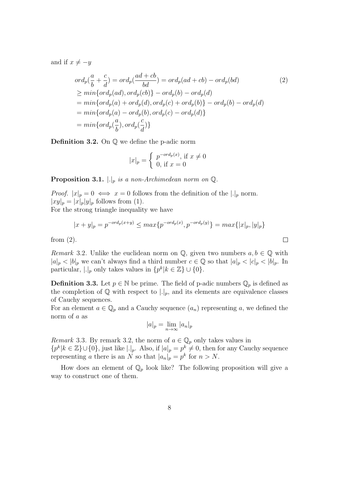and if  $x \neq -y$ 

$$
ord_p(\frac{a}{b} + \frac{c}{d}) = ord_p(\frac{ad + cb}{bd}) = ord_p(ad + cb) - ord_p(bd)
$$
\n
$$
\geq min\{ord_p(ad), ord_p(cb)\} - ord_p(b) - ord_p(d)
$$
\n
$$
= min\{ord_p(a) + ord_p(d), ord_p(c) + ord_p(b)\} - ord_p(b) - ord_p(d)
$$
\n
$$
= min\{ord_p(a) - ord_p(b), ord_p(c) - ord_p(d)\}
$$
\n
$$
= min\{ord_p(\frac{a}{b}), ord_p(\frac{c}{d})\}
$$
\n
$$
= min\{ord_p(\frac{a}{b}), ord_p(\frac{c}{d})\}
$$
\n(2)

**Definition 3.2.** On  $\mathbb Q$  we define the p-adic norm

$$
|x|_p = \begin{cases} p^{-ord_p(x)}, \text{ if } x \neq 0\\ 0, \text{ if } x = 0 \end{cases}
$$

**Proposition 3.1.**  $\bigcup_{p}$  is a non-Archimedean norm on  $\mathbb{Q}$ .

*Proof.*  $|x|_p = 0 \iff x = 0$  follows from the definition of the  $|.|_p$  norm.  $|xy|_p = |x|_p |y|_p$  follows from (1).

For the strong triangle inequality we have

$$
|x + y|_p = p^{-ord_p(x+y)} \le max\{p^{-ord_p(x)}, p^{-ord_p(y)}\} = max\{|x|_p, |y|_p\}
$$

 $\Box$ 

from (2).

Remark 3.2. Unlike the euclidean norm on  $\mathbb{Q}$ , given two numbers  $a, b \in \mathbb{Q}$  with  $|a|_p < |b|_p$  we can't always find a third number  $c \in \mathbb{Q}$  so that  $|a|_p < |c|_p < |b|_p$ . In particular,  $|.|_p$  only takes values in  $\{p^k | k \in \mathbb{Z}\} \cup \{0\}.$ 

**Definition 3.3.** Let  $p \in \mathbb{N}$  be prime. The field of p-adic numbers  $\mathbb{Q}_p$  is defined as the completion of  $\mathbb Q$  with respect to  $|.|_p$ , and its elements are equivalence classes of Cauchy sequences.

For an element  $a \in \mathbb{Q}_p$  and a Cauchy sequence  $(a_n)$  representing a, we defined the norm of a as

$$
|a|_p = \lim_{n \to \infty} |a_n|_p
$$

*Remark* 3.3. By remark 3.2, the norm of  $a \in \mathbb{Q}_p$  only takes values in  $\{p^k | k \in \mathbb{Z}\}\cup\{0\}$ , just like  $|.|_p$ . Also, if  $|a|_p = p^k \neq 0$ , then for any Cauchy sequence representing a there is an N so that  $|a_n|_p = p^k$  for  $n > N$ .

How does an element of  $\mathbb{Q}_p$  look like? The following proposition will give a way to construct one of them.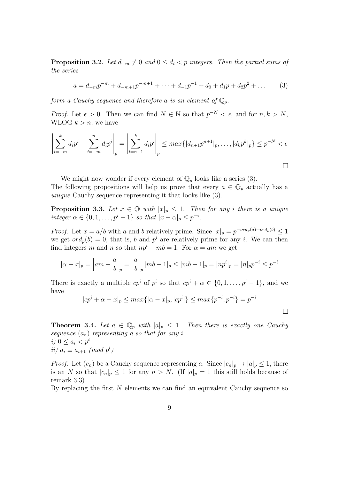**Proposition 3.2.** Let  $d_{-m} \neq 0$  and  $0 \leq d_i < p$  integers. Then the partial sums of the series

$$
a = d_{-m}p^{-m} + d_{-m+1}p^{-m+1} + \dots + d_{-1}p^{-1} + d_0 + d_1p + d_2p^2 + \dots \tag{3}
$$

form a Cauchy sequence and therefore a is an element of  $\mathbb{Q}_p$ .

*Proof.* Let  $\epsilon > 0$ . Then we can find  $N \in \mathbb{N}$  so that  $p^{-N} < \epsilon$ , and for  $n, k > N$ , WLOG  $k > n$ , we have

$$
\left| \sum_{i=-m}^{k} d_i p^i - \sum_{i=-m}^{n} d_i p^i \right|_p = \left| \sum_{i=n+1}^{k} d_i p^i \right|_p \leq max \{ |d_{n+1} p^{n+1}|_p, \dots, |d_k p^k|_p \} \leq p^{-N} < \epsilon
$$

We might now wonder if every element of  $\mathbb{Q}_p$  looks like a series (3).

The following propositions will help us prove that every  $a \in \mathbb{Q}_p$  actually has a unique Cauchy sequence representing it that looks like (3).

**Proposition 3.3.** Let  $x \in \mathbb{Q}$  with  $|x|_p \leq 1$ . Then for any i there is a unique integer  $\alpha \in \{0, 1, \ldots, p^i - 1\}$  so that  $|x - \alpha|_p \leq p^{-i}$ .

*Proof.* Let  $x = a/b$  with a and b relatively prime. Since  $|x|_p = p^{-ord_p(a) + ord_p(b)} \le 1$ we get  $\partial r d_p(b) = 0$ , that is, b and  $p^i$  are relatively prime for any i. We can then find integers m and n so that  $np^{i} + mb = 1$ . For  $\alpha = am$  we get

$$
|\alpha - x|_p = |am - \frac{a}{b}|_p = \left|\frac{a}{b}\right|_p |mb - 1|_p \le |mb - 1|_p = |np^i|_p = |n|_p p^{-i} \le p^{-i}
$$

There is exactly a multiple  $cp^i$  of  $p^i$  so that  $cp^i + \alpha \in \{0, 1, \ldots, p^i - 1\}$ , and we have

$$
|cp^{i} + \alpha - x|_{p} \le max\{|\alpha - x|_{p}, |cp^{i}|\} \le max\{p^{-i}, p^{-i}\} = p^{-i}
$$

**Theorem 3.4.** Let  $a \in \mathbb{Q}_p$  with  $|a|_p \leq 1$ . Then there is exactly one Cauchy sequence  $(a_n)$  representing a so that for any i i)  $0 \leq a_i < p^i$ ii)  $a_i \equiv a_{i+1} \pmod{p^i}$ 

*Proof.* Let  $(c_n)$  be a Cauchy sequence representing a. Since  $|c_n|_p \to |a|_p \leq 1$ , there is an N so that  $|c_n|_p \leq 1$  for any  $n > N$ . (If  $|a|_p = 1$  this still holds because of remark 3.3)

By replacing the first  $N$  elements we can find an equivalent Cauchy sequence so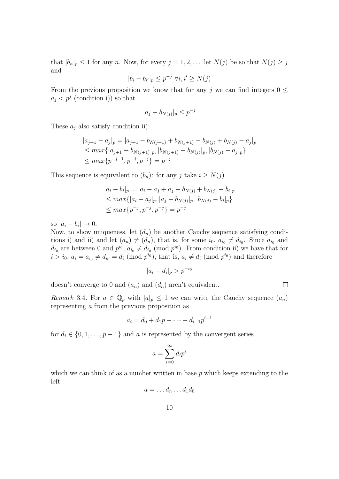that  $|b_n|_p \leq 1$  for any n. Now, for every  $j = 1, 2, \ldots$  let  $N(j)$  be so that  $N(j) \geq j$ and

$$
|b_i - b_{i'}|_p \le p^{-j} \ \forall i, i' \ge N(j)
$$

From the previous proposition we know that for any j we can find integers  $0 \leq$  $a_j < p^j$  (condition i)) so that

$$
|a_j - b_{N(j)}|_p \le p^{-j}
$$

These  $a_i$  also satisfy condition ii):

$$
|a_{j+1} - a_j|_p = |a_{j+1} - b_{N(j+1)} + b_{N(j+1)} - b_{N(j)} + b_{N(j)} - a_j|_p
$$
  
\n
$$
\leq max\{|a_{j+1} - b_{N(j+1)}|_p, |b_{N(j+1)} - b_{N(j)}|_p, |b_{N(j)} - a_j|_p\}
$$
  
\n
$$
\leq max\{p^{-j-1}, p^{-j}, p^{-j}\} = p^{-j}
$$

This sequence is equivalent to  $(b_n)$ : for any j take  $i \geq N(j)$ 

$$
|a_i - b_i|_p = |a_i - a_j + a_j - b_{N(j)} + b_{N(j)} - b_i|_p
$$
  
\n
$$
\leq max\{|a_i - a_j|_p, |a_j - b_{N(j)}|_p, |b_{N(j)} - b_i|_p\}
$$
  
\n
$$
\leq max\{p^{-j}, p^{-j}, p^{-j}\} = p^{-j}
$$

so  $|a_i - b_i| \to 0$ .

Now, to show uniqueness, let  $(d_n)$  be another Cauchy sequence satisfying conditions i) and ii) and let  $(a_n) \neq (d_n)$ , that is, for some  $i_0, a_{i_0} \neq d_{i_0}$ . Since  $a_{i_0}$  and  $d_{i_0}$  are between 0 and  $p^{i_0}$ ,  $a_{i_0} \neq d_{i_0} \pmod{p^{i_0}}$ . From condition ii) we have that for  $i > i_0$ ,  $a_i = a_{i_0} \neq d_{i_0} = d_i \pmod{p^{i_0}}$ , that is,  $a_i \neq d_i \pmod{p^{i_0}}$  and therefore

$$
|a_i - d_i|_p > p^{-i_0}
$$

 $\Box$ 

doesn't converge to 0 and  $(a_n)$  and  $(d_n)$  aren't equivalent.

*Remark* 3.4. For  $a \in \mathbb{Q}_p$  with  $|a|_p \leq 1$  we can write the Cauchy sequence  $(a_n)$ representing a from the previous proposition as

$$
a_i = d_0 + d_1 p + \dots + d_{i-1} p^{i-1}
$$

for  $d_i \in \{0, 1, \ldots, p-1\}$  and a is represented by the convergent series

$$
a = \sum_{i=0}^{\infty} d_i p^i
$$

which we can think of as a number written in base  $p$  which keeps extending to the left

$$
a=\ldots d_n\ldots d_1d_0
$$